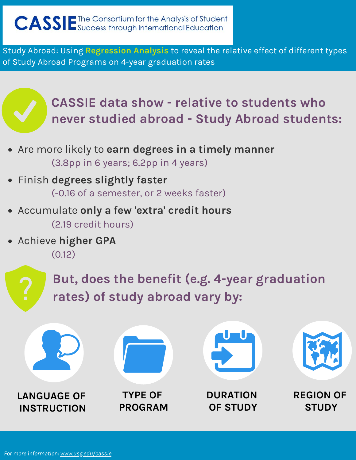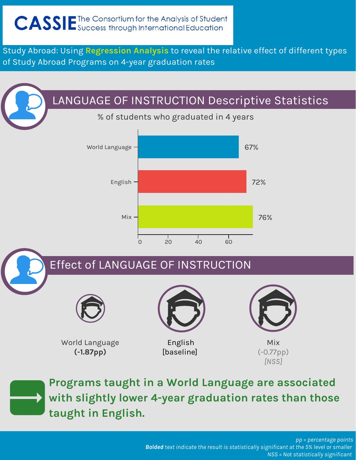### LANGUAGE OF INSTRUCTION Descriptive Statistics

% of students who graduated in 4 years

![](_page_1_Figure_4.jpeg)

### Effect of LANGUAGE OF INSTRUCTION

![](_page_1_Picture_6.jpeg)

World Language **(-1.87pp)**

![](_page_1_Picture_8.jpeg)

**[baseline]** 

![](_page_1_Picture_10.jpeg)

Mix (-0.77pp) *[NSS]*

![](_page_1_Picture_12.jpeg)

**Programs taught in a World Language are associated with slightly lower 4-year graduation rates than those taught in English.**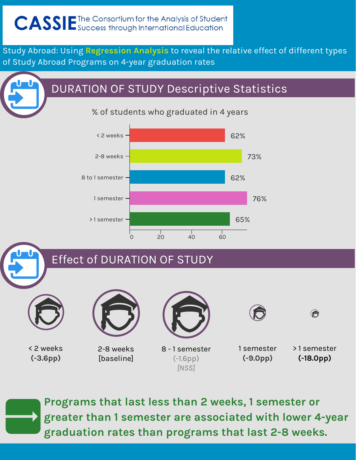## DURATION OF STUDY Descriptive Statistics

#### % of students who graduated in 4 years

![](_page_2_Figure_4.jpeg)

### Effect of DURATION OF STUDY

![](_page_2_Picture_6.jpeg)

![](_page_2_Picture_7.jpeg)

< 2 weeks **(-3.6pp)**

2-8 weeks **[baseline]** 

![](_page_2_Picture_10.jpeg)

8 - 1 semester (-1.6pp) *[NSS]*

1 semester **(-9.0pp)**

![](_page_2_Picture_13.jpeg)

 $\bigodot$ 

**Programs that last less than 2 weeks, 1 semester or greater than 1 semester are associated with lower 4-year graduation rates than programs that last 2-8 weeks.**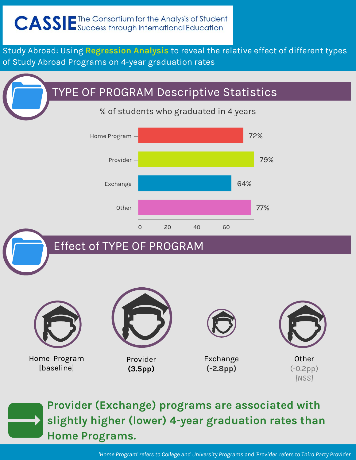## TYPE OF PROGRAM Descriptive Statistics

% of students who graduated in 4 years

![](_page_3_Figure_4.jpeg)

![](_page_3_Picture_5.jpeg)

# Effect of TYPE OF PROGRAM

![](_page_3_Picture_7.jpeg)

**[baseline]** 

Provider **(3.5pp)**

Exchange **(-2.8pp)**

**Other** (-0.2pp) *[NSS]*

![](_page_3_Picture_12.jpeg)

**Provider (Exchange) programs are associated with slightly higher (lower) 4-year graduation rates than Home Programs.** 

*'Home Program' refers to College and University Programs and 'Provider 'refers to Third Party Provider*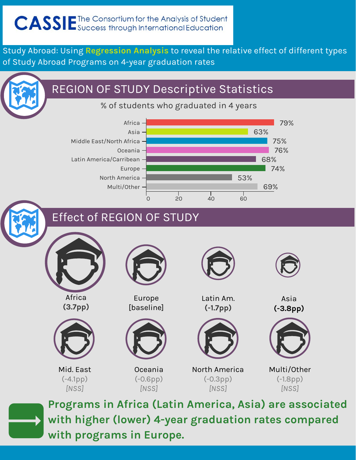### REGION OF STUDY Descriptive Statistics

% of students who graduated in 4 years

![](_page_4_Figure_4.jpeg)

### Effect of REGION OF STUDY

![](_page_4_Picture_6.jpeg)

![](_page_4_Picture_7.jpeg)

**Programs in Africa (Latin America, Asia) are associated with higher (lower) 4-year graduation rates compared with programs in Europe.**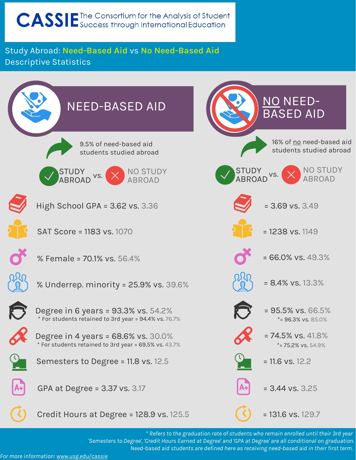#### Study Abroad: **Need-Based Aid** vs **No Need-Based Aid** Descriptive Statistics

![](_page_5_Figure_2.jpeg)

*\* Refers to the graduation rate of students who remain enrolled until their 3rd year 'Semesters to Degree', 'Credit Hours Earned at Degree' and 'GPA at Degree' are all conditional on graduation. Need-based aid students are defined here as receiving need-based aid in their first term.*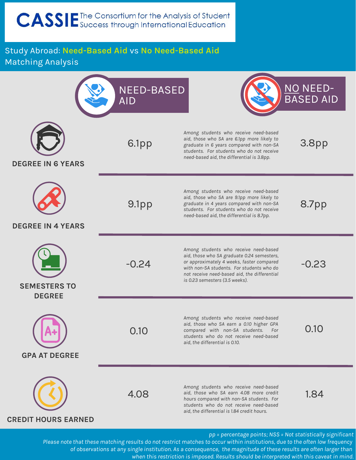#### Study Abroad: **Need-Based Aid** vs **No Need-Based Aid** Matching Analysis

![](_page_6_Figure_2.jpeg)

*of observations at any single institution. As a consequence, the magnitude of these results are often larger than when this restriction is imposed. Results should be interpreted with this caveat in mind.*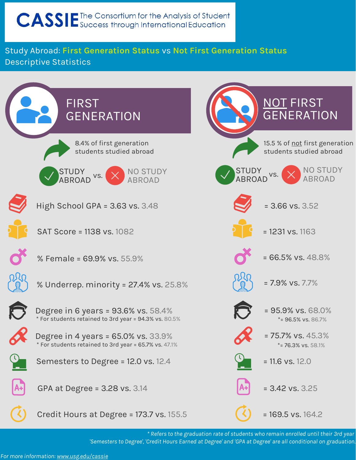#### Study Abroad: **First Generation Status** vs **Not First Generation Status** Descriptive Statistics

![](_page_7_Figure_2.jpeg)

*\* Refers to the graduation rate of students who remain enrolled until their 3rd year 'Semesters to Degree', 'Credit Hours Earned at Degree' and 'GPA at Degree' are all conditional on graduation.*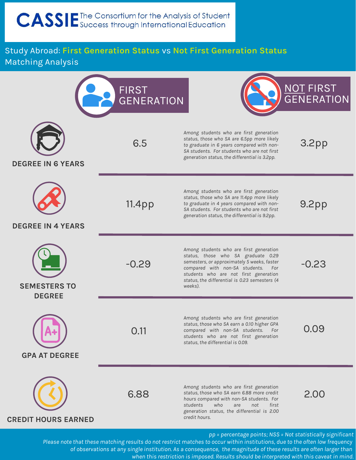#### Study Abroad: **First Generation Status** vs **Not First Generation Status** Matching Analysis

|                                                                                                                                                                                            | <b>FIRST</b><br><b>GENERATION</b> |                                                                                                                                                                                                                                                                         | NOT FIRST         |
|--------------------------------------------------------------------------------------------------------------------------------------------------------------------------------------------|-----------------------------------|-------------------------------------------------------------------------------------------------------------------------------------------------------------------------------------------------------------------------------------------------------------------------|-------------------|
| <b>DEGREE IN 6 YEARS</b>                                                                                                                                                                   | 6.5                               | Among students who are first generation<br>status, those who SA are 6.5pp more likely<br>to graduate in 6 years compared with non-<br>SA students. For students who are not first<br>generation status, the differential is 3.2pp.                                      | 3.2 <sub>pp</sub> |
| <b>DEGREE IN 4 YEARS</b>                                                                                                                                                                   | 11.4pp                            | Among students who are first generation<br>status, those who SA are 11.4pp more likely<br>to graduate in 4 years compared with non-<br>SA students. For students who are not first<br>generation status, the differential is 9.2pp.                                     | 9.2 <sub>pp</sub> |
| <b>SEMESTERS TO</b><br><b>DEGREE</b>                                                                                                                                                       | $-0.29$                           | Among students who are first generation<br>status, those who SA graduate 0.29<br>semesters, or approximately 5 weeks, faster<br>compared with non-SA students. For<br>students who are not first generation<br>status, the differential is 0.23 semesters (4<br>weeks). | $-0.23$           |
| <b>GPA AT DEGREE</b>                                                                                                                                                                       | 0.11                              | Among students who are first generation<br>status, those who SA earn a 0.10 higher GPA<br>compared with non-SA students. For<br>students who are not first generation<br>status, the differential is 0.09.                                                              | 0.09              |
| <b>CREDIT HOURS EARNED</b>                                                                                                                                                                 | 6.88                              | Among students who are first generation<br>status, those who SA earn 6.88 more credit<br>hours compared with non-SA students. For<br>students<br>who<br>not<br>first<br>are<br>generation status, the differential is 2.00<br>credit hours.                             | 2.00              |
| pp = percentage points; NSS = Not statistically significant<br>Blace pate that these matching results do not restrict matches to securewithin institutions, due to the efter lew frequency |                                   |                                                                                                                                                                                                                                                                         |                   |

*Please note that these matching results do not restrict matches to occur within institutions, due to the often low frequency of observations at any single institution. As a consequence, the magnitude of these results are often larger than when this restriction is imposed. Results should be interpreted with this caveat in mind.*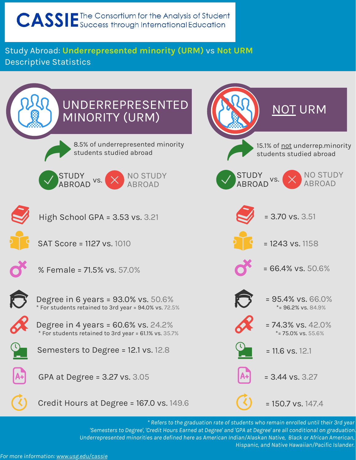Study Abroad: **Underrepresented minority (URM)** vs **Not URM** Descriptive Statistics

![](_page_9_Figure_2.jpeg)

*\* Refers to the graduation rate of students who remain enrolled until their 3rd year 'Semesters to Degree', 'Credit Hours Earned at Degree' and 'GPA at Degree' are all conditional on graduation. Underrepresented minorities are defined here as American Indian/Alaskan Native, Black or African American, Hispanic, and Native Hawaiian/Pacific Islander.*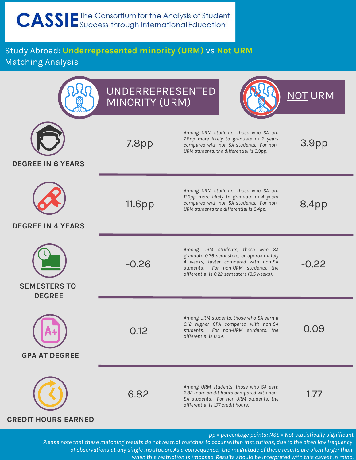Study Abroad: **Underrepresented minority (URM)** vs **Not URM** Matching Analysis

![](_page_10_Figure_2.jpeg)

*Please note that these matching results do not restrict matches to occur within institutions, due to the often low frequency of observations at any single institution. As a consequence, the magnitude of these results are often larger than when this restriction is imposed. Results should be interpreted with this caveat in mind.*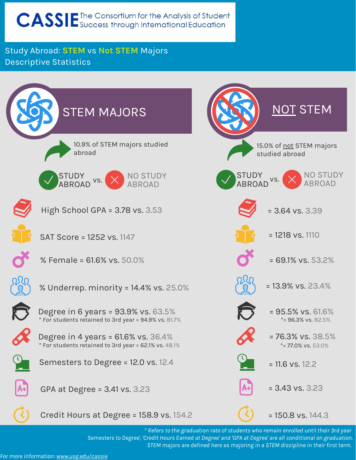#### Study Abroad: **STEM** vs **Not STEM** Majors Descriptive Statistics

![](_page_11_Figure_2.jpeg)

*\* Refers to the graduation rate of students who remain enrolled until their 3rd year Semesters to Degree', 'Credit Hours Earned at Degree' and 'GPA at Degree' are all conditional on graduation. STEM majors are defined here as majoring in a STEM discipline in their first term.*